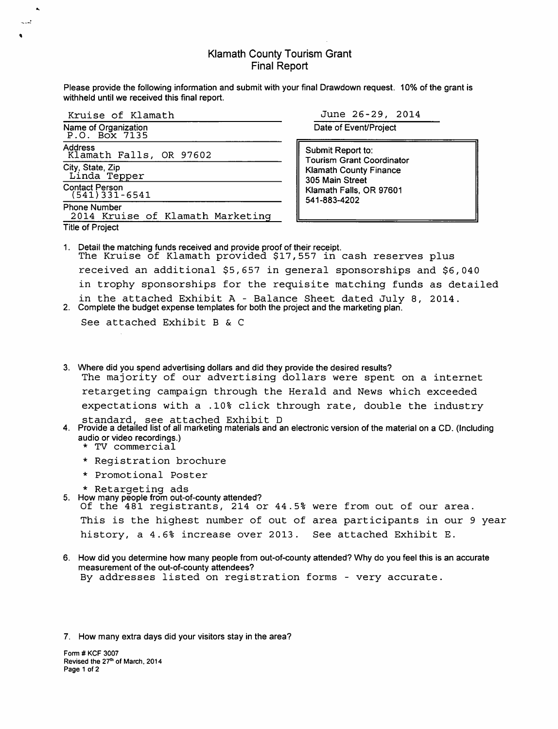#### Klamath County Tourism Grant Final Report

Please provide the following information and submit with your final Drawdown request. 10% of the grant is withheld until we received this final report.

| Kruise of Klamath                                       |
|---------------------------------------------------------|
| Name of Organization<br>P.O. Box 7135                   |
| Address<br>Klamath Falls, OR 97602                      |
| City, State, Zip<br>Linda_Tepper                        |
| <b>Contact Person</b><br>$(541)$ 331-6541               |
| <b>Phone Number</b><br>2014 Kruise of Klamath Marketing |
| <b>Title of Project</b>                                 |

'

 $\mathbf{r}$ 

June 26-29, 2014

Date of Event/Project

Submit Report to: Tourism Grant Coordinator Klamath County Finance 305 Main Street Klamath Falls, OR 97601 541-883-4202

1. Detail the matching funds received and provide proof of their receipt. The Kruise of Klamath provided \$17,557 in cash reserves plus received an additional \$5,657 in general sponsorships and \$6,040 in trophy sponsorships for the requisite matching funds as detailed in the attached Exhibit A - Balance Sheet dated July 8, 2014. 2. Complete the budget expense templates for both the project and the marketing plan.

See attached Exhibit B & C

- 3. Where did you spend advertising dollars and did they provide the desired results? The majority of our advertising dollars were spent on a internet retargeting campaign through the Herald and News which exceeded expectations with a .10% click through rate, double the industry standard, see attached Exhibit D
- 4. Provide a detailed list of all marketing materials and an electronic version of the material on a CD. (Including
	- \* TV commercial
	- \* Registration brochure
	- \* Promotional Poster
	-
- \* Retargeting ads 5. How many people from out-of-county attended?

```
Of the 481 registrants, 214 or 44.5% were from out of our area.
```

```
This is the highest number of out of area participants in our 9 year 
history, a 4.6% increase over 2013. See attached Exhibit E.
```
6. How did you determine how many people from out-of-county attended? Why do you feel this is an accurate measurement of the out-of-county attendees? By addresses listed on registration forms - very accurate.

7. How many extra days did your visitors stay in the area?

Form# KCF 3007 Revised the 27<sup>th</sup> of March, 2014 Page 1 of 2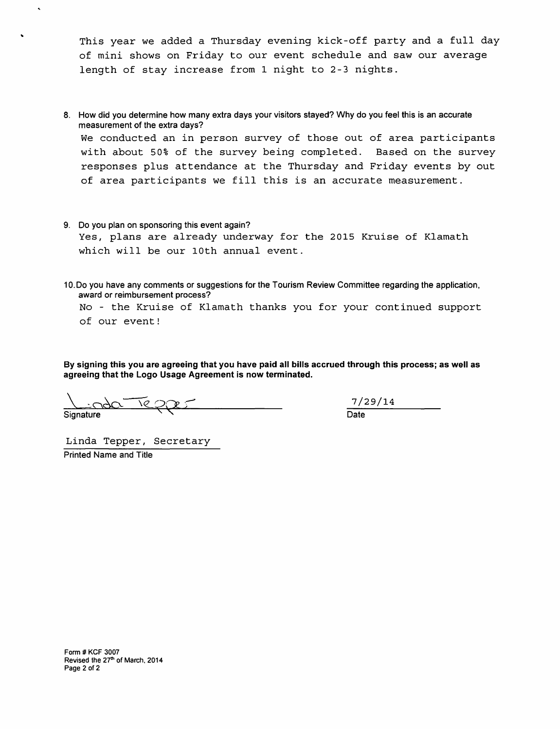This year we added a Thursday evening kick-off party and a full day of mini shows on Friday to our event schedule and saw our average length of stay increase from 1 night to 2-3 nights.

- 8. How did you determine how many extra days your visitors stayed? Why do you feel this is an accurate measurement of the extra days? We conducted an in person survey of those out of area participants with about 50% of the survey being completed. Based on the survey responses plus attendance at the Thursday and Friday events by out of area participants we fill this is an accurate measurement.
- 9. Do you plan on sponsoring this event again? Yes, plans are already underway for the 2015 Kruise of Klamath which will be our lOth annual event.
- 10.Do you have any comments or suggestions for the Tourism Review Committee regarding the application, award or reimbursement process?

No - the Kruise of Klamath thanks you for your continued support of our event!

**By signing this you are agreeing that you have paid all bills accrued through this process; as well as agreeing that the Logo Usage Agreement is now terminated.** 

Signature

7/29/14 Date

Linda Tepper, Secretary Printed Name and Title

 $\hat{\mathbf{A}}$ 

 $\bullet$ 

Form # KCF 3007 Revised the 27<sup>th</sup> of March, 2014 Page 2 of 2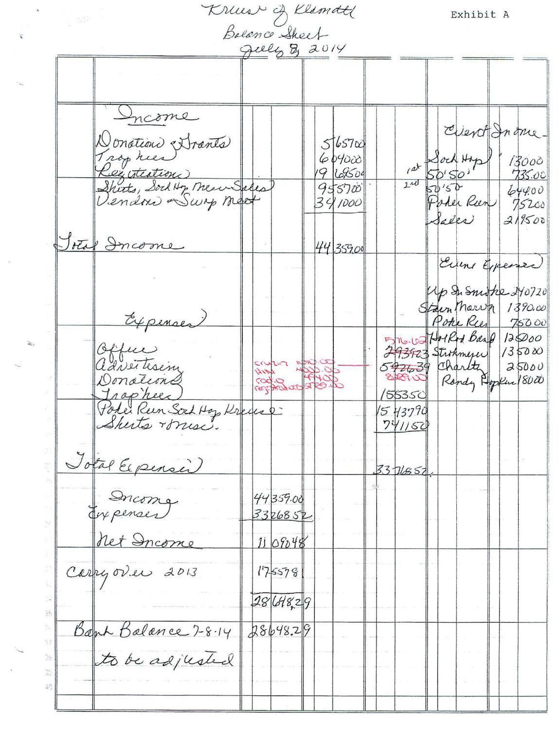Kruis of Klamatt

 $\hat{\mathbf{x}}$ 

 $\overline{\mathbf{v}}$ 

 $\epsilon$ 

 $\gtrapprox$ 

Exhibit A

|                |                                                                                              | July 8, 2014        |                                                  |                                               |                      |                           |                                                              |
|----------------|----------------------------------------------------------------------------------------------|---------------------|--------------------------------------------------|-----------------------------------------------|----------------------|---------------------------|--------------------------------------------------------------|
|                |                                                                                              |                     |                                                  |                                               |                      |                           |                                                              |
|                | Income<br>Donation Strants<br>Registeation<br>Shirts, Sock Hy Meur Sales<br>lendon Swip moet |                     | 565700<br>609000<br>19 69500<br>955700<br>341000 | $240$ $50'50'$                                | at Sock Hap<br>Salka | Poter Ren                 | Event Inone.<br>13000<br>735.00<br>644.00<br>75200<br>319500 |
|                | Total Income                                                                                 |                     | 44 359.00                                        |                                               |                      |                           | Evens Expense<br>Up Su Snidke 240720                         |
|                | Expenses)                                                                                    |                     |                                                  |                                               |                      | Stain Thorum<br>Poke Rees | 1390.00<br>75000<br>576.65 Holled Band 125000<br>135000      |
|                | Office<br>Donations<br>Trophee                                                               | cara<br>Contractors |                                                  | 293923 Strokmerer<br>592639 Charltz<br>155350 |                      |                           | 25000<br>Rondy Hopkur (8000)                                 |
|                | Polei Run Sort Hop Kreiser<br>Skeits miss.                                                   |                     |                                                  | 1543790<br>741150                             |                      |                           |                                                              |
|                | Jotal Expenser<br>Income<br>Enfenses                                                         | 44359.00<br>3326852 |                                                  | 3376857                                       |                      |                           |                                                              |
|                | Carry over 2013                                                                              | 1109048<br>175578   |                                                  |                                               |                      |                           |                                                              |
|                | Bank Balance 7-8-14                                                                          | 2864829<br>28648.29 |                                                  |                                               |                      |                           |                                                              |
| 3e<br>30<br>40 | to be adjusted                                                                               |                     |                                                  |                                               |                      |                           |                                                              |
|                |                                                                                              |                     |                                                  |                                               |                      |                           |                                                              |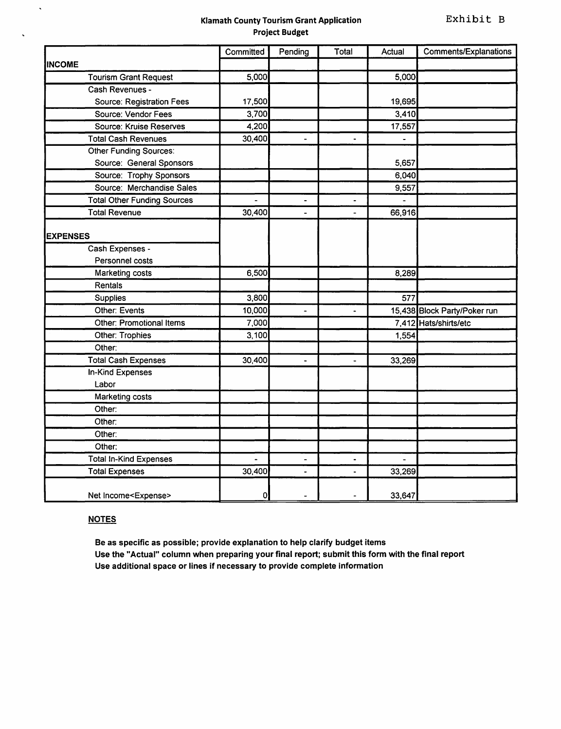#### Klamath County Tourism Grant Application Project Budget

|                                    | Committed | Pending                  | Total                | Actual | <b>Comments/Explanations</b> |
|------------------------------------|-----------|--------------------------|----------------------|--------|------------------------------|
| <b>INCOME</b>                      |           |                          |                      |        |                              |
| <b>Tourism Grant Request</b>       | 5,000     |                          |                      | 5,000  |                              |
| Cash Revenues -                    |           |                          |                      |        |                              |
| Source: Registration Fees          | 17,500    |                          |                      | 19,695 |                              |
| Source: Vendor Fees                | 3,700     |                          |                      | 3,410  |                              |
| Source: Kruise Reserves            | 4,200     |                          |                      | 17,557 |                              |
| <b>Total Cash Revenues</b>         | 30,400    | $\overline{\phantom{0}}$ | $\ddot{\phantom{1}}$ |        |                              |
| Other Funding Sources:             |           |                          |                      |        |                              |
| Source: General Sponsors           |           |                          |                      | 5,657  |                              |
| Source: Trophy Sponsors            |           |                          |                      | 6,040  |                              |
| Source: Merchandise Sales          |           |                          |                      | 9,557  |                              |
| <b>Total Other Funding Sources</b> |           | $\blacksquare$           | $\ddot{\phantom{1}}$ |        |                              |
| <b>Total Revenue</b>               | 30,400    | ٠                        | $\overline{a}$       | 66,916 |                              |
|                                    |           |                          |                      |        |                              |
| <b>EXPENSES</b>                    |           |                          |                      |        |                              |
| Cash Expenses -                    |           |                          |                      |        |                              |
| Personnel costs                    |           |                          |                      |        |                              |
| Marketing costs                    | 6,500     |                          |                      | 8,289  |                              |
| Rentals                            |           |                          |                      |        |                              |
| Supplies                           | 3,800     |                          |                      | 577    |                              |
| Other: Events                      | 10,000    | $\ddot{\phantom{1}}$     | $\blacksquare$       |        | 15,438 Block Party/Poker run |
| Other: Promotional Items           | 7,000     |                          |                      |        | 7,412 Hats/shirts/etc        |
| Other: Trophies                    | 3,100     |                          |                      | 1,554  |                              |
| Other:                             |           |                          |                      |        |                              |
| <b>Total Cash Expenses</b>         | 30,400    | $\overline{a}$           | $\ddot{\phantom{0}}$ | 33,269 |                              |
| <b>In-Kind Expenses</b>            |           |                          |                      |        |                              |
| Labor                              |           |                          |                      |        |                              |
| Marketing costs                    |           |                          |                      |        |                              |
| Other:                             |           |                          |                      |        |                              |
| Other:                             |           |                          |                      |        |                              |
| Other:                             |           |                          |                      |        |                              |
| Other:                             |           |                          |                      |        |                              |
| <b>Total In-Kind Expenses</b>      |           |                          |                      |        |                              |
| <b>Total Expenses</b>              | 30,400    | $\overline{a}$           |                      | 33,269 |                              |
| Net Income <expense></expense>     | 0         |                          |                      | 33,647 |                              |

#### **NOTES**

 $\hat{\mathcal{A}}$ 

Be as specific as possible; provide explanation to help clarify budget items Use the "Actual" column when preparing your final report; submit this form with the final report Use additional space or lines if necessary to provide complete information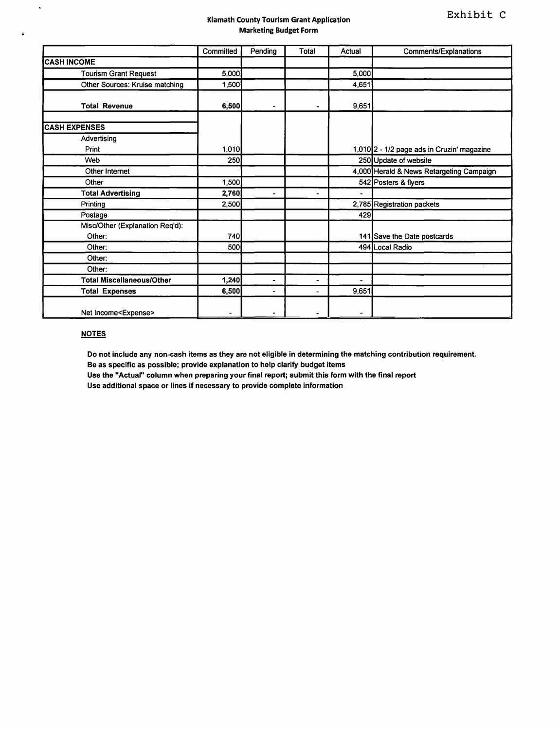#### Klamath County Tourism Grant Application Marketing Budget Form

|                                  | Committed | Pending                      | Total          | Actual                   | Comments/Explanations                      |
|----------------------------------|-----------|------------------------------|----------------|--------------------------|--------------------------------------------|
| <b>CASH INCOME</b>               |           |                              |                |                          |                                            |
| <b>Tourism Grant Request</b>     | 5,000     |                              |                | 5,000                    |                                            |
| Other Sources: Kruise matching   | 1,500     |                              |                | 4,651                    |                                            |
| <b>Total Revenue</b>             | 6,500     |                              |                | 9,651                    |                                            |
| <b>CASH EXPENSES</b>             |           |                              |                |                          |                                            |
| Advertising                      |           |                              |                |                          |                                            |
| Print                            | 1,010     |                              |                |                          | 1,010 2 - 1/2 page ads in Cruzin' magazine |
| Web                              | 250       |                              |                |                          | 250 Update of website                      |
| Other Internet                   |           |                              |                |                          | 4,000 Herald & News Retargeting Campaign   |
| Other                            | 1,500     |                              |                |                          | 542 Posters & flyers                       |
| <b>Total Advertising</b>         | 2,760     | $\blacksquare$               | $\blacksquare$ | $\overline{\phantom{a}}$ |                                            |
| Printing                         | 2,500     |                              |                |                          | 2,785 Registration packets                 |
| Postage                          |           |                              |                | 429                      |                                            |
| Misc/Other (Explanation Req'd):  |           |                              |                |                          |                                            |
| Other:                           | 740       |                              |                |                          | 141 Save the Date postcards                |
| Other:                           | 500       |                              |                |                          | 494 Local Radio                            |
| Other:                           |           |                              |                |                          |                                            |
| Other:                           |           |                              |                |                          |                                            |
| <b>Total Miscellaneous/Other</b> | 1,240     | $\qquad \qquad \blacksquare$ | $\blacksquare$ | ٠                        |                                            |
| <b>Total Expenses</b>            | 6,500     | $\overline{\phantom{a}}$     | ٠              | 9,651                    |                                            |
| Net Income <expense></expense>   |           |                              |                |                          |                                            |

#### **NOTES**

 $\ddot{\phantom{0}}$ 

 $\ddot{\bullet}$ 

Do not include any non-cash items as they are not eligible in determining the matching contribution requirement

Be as specific as possible; provide explanation to help clarify budget items

Use the "Actual" column when preparing your final report; submit this form with the final report

Use additional space or lines if necessary to provide complete information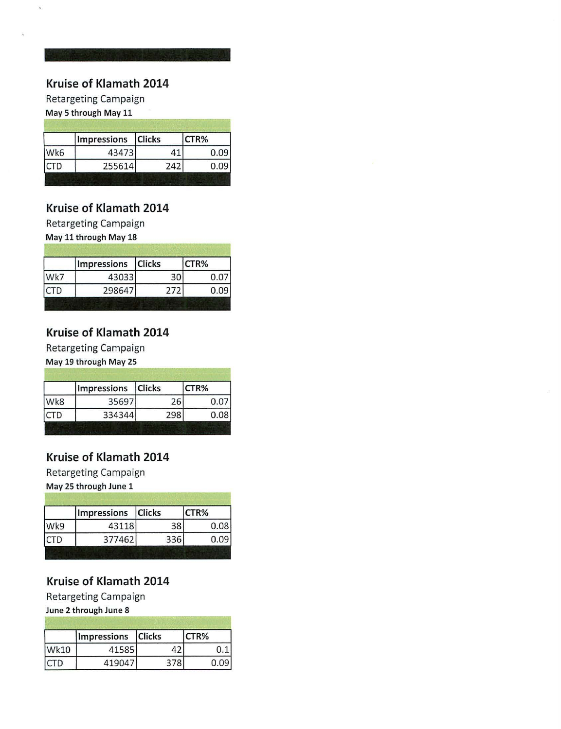Retargeting Campaign

May 5 through May 11

|            | Impressions Clicks |     | CTR% |
|------------|--------------------|-----|------|
| Wk6        | 43473              |     | 0.09 |
| <b>CTD</b> | 255614             | 242 | 0.09 |

## **Kruise of Klamath 2014**

Retargeting Campaign

May 11 through May 18

|     | Impressions Clicks |     | CTR% |
|-----|--------------------|-----|------|
| Wk7 | 43033              | 30  |      |
|     | 298647             | 272 | 0.09 |

## **Kruise of Klamath 2014**

Retargeting Campaign

May 19 through May 25

|             | Impressions Clicks |     | CTR%      |
|-------------|--------------------|-----|-----------|
| Wk8         | 35697              | 26  | $0.0^{-}$ |
| <b>ICTD</b> | 334344             | 298 | 0.081     |

## **Kruise of Klamath 2014**

Retargeting Campaign

May 25 through June 1

|      | Impressions Clicks |     | CTR% |
|------|--------------------|-----|------|
| Wk9  | 43118              | 38  | 0.08 |
| ICTD | 377462             | 336 | 0.09 |

# **Kruise of Klamath 2014**

Retargeting Campaign

June 2 through June 8

|             | Impressions Clicks |     | CTR% |
|-------------|--------------------|-----|------|
| <b>Wk10</b> | 41585              |     |      |
| ICTD        | 419047             | 378 |      |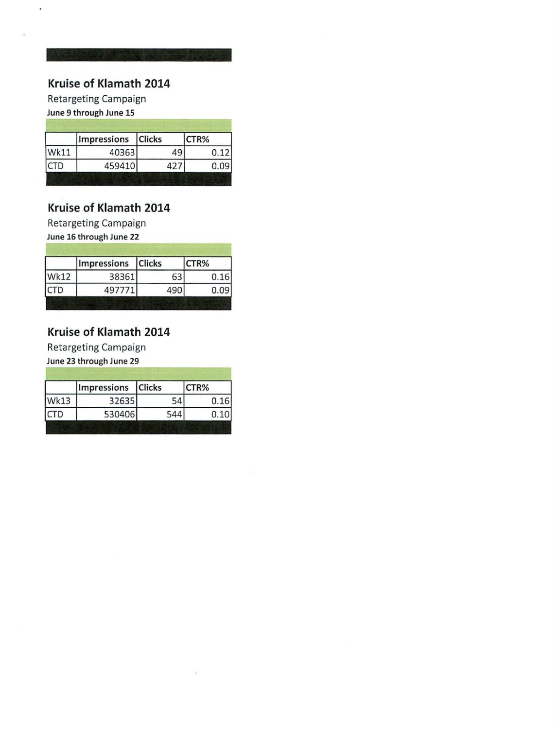## **Kruise of Klamath 2014**

Retargeting Campaign June 9 through June 15

 $\ddot{\phantom{0}}$ 

ý.

Impressions Clicks CTR% **Wk11** 40363 49  $0.12$ **CTD** 459410 427  $0.09$ 

## **Kruise of Klamath 2014**

Retargeting Campaign

June 16 through June 22

|             | Impressions Clicks |     | CTR% |
|-------------|--------------------|-----|------|
| <b>Wk12</b> | 38361              | 63  | 0.16 |
| ICTD        | 497771             | 490 | 0.09 |

## **Kruise of Klamath 2014**

Retargeting Campaign

June 23 through June 29

|             | Impressions Clicks |     | CTR% |
|-------------|--------------------|-----|------|
| <b>Wk13</b> | 32635              | 54  | 0.16 |
| ICTD        | 530406             | 544 | 0.10 |

 $\frac{1}{2}$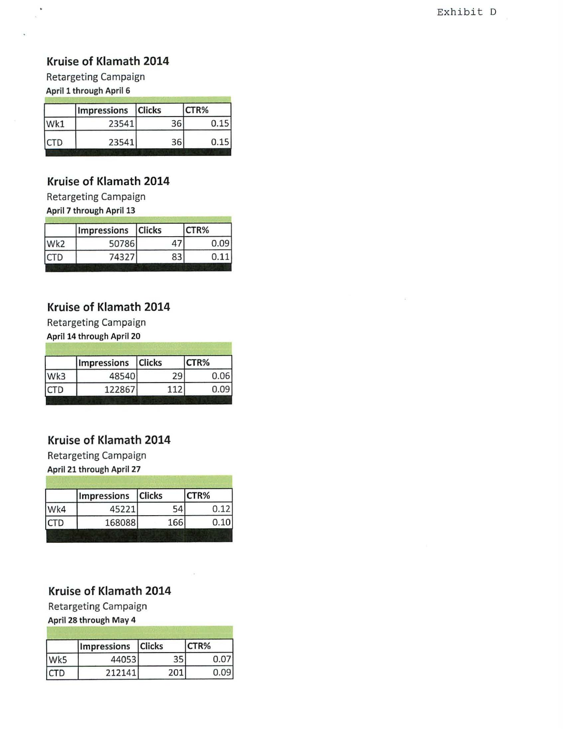### **Kruise of Klamath 2014**

Retargeting Campaign April 1 through April 6

.

|      | Impressions Clicks |    | CTR% |
|------|--------------------|----|------|
| Wk1  | 23541              | 36 | 0.15 |
| ICTD | 23541              | 36 | 0.15 |

### **Kruise of Klamath 2014**

Retargeting Campaign April 7 through April 13

| Wk <sub>2</sub> | Impressions Clicks |    | CTR% |  |  |
|-----------------|--------------------|----|------|--|--|
|                 | 50786              | 47 | 0.09 |  |  |
| ICTD            | 74327              | 83 | 0.11 |  |  |

## **Kruise of Klamath 2014**

Retargeting Campaign

April 14 through April 20

|      | Impressions Clicks |     | CTR% |  |
|------|--------------------|-----|------|--|
| Wk3  | 48540              | 29  | 0.06 |  |
| ICTD | 122867             | 112 | 0.09 |  |

# **Kruise of Klamath 2014**

Retargeting Campaign April 21 through April 27

| Wk4<br>ICTD | Impressions Clicks |     | CTR% |  |
|-------------|--------------------|-----|------|--|
|             | 45221              | 54  | 0.12 |  |
|             | 168088             | 166 | 0.10 |  |

# **Kruise of Klamath 2014**

Retargeting Campaign

April 28 through May 4

| Wk5  | Impressions Clicks |      | CTR% |
|------|--------------------|------|------|
|      | 440531             | 35   | 0.07 |
| ICTD | 212141             | 201. | 0.09 |